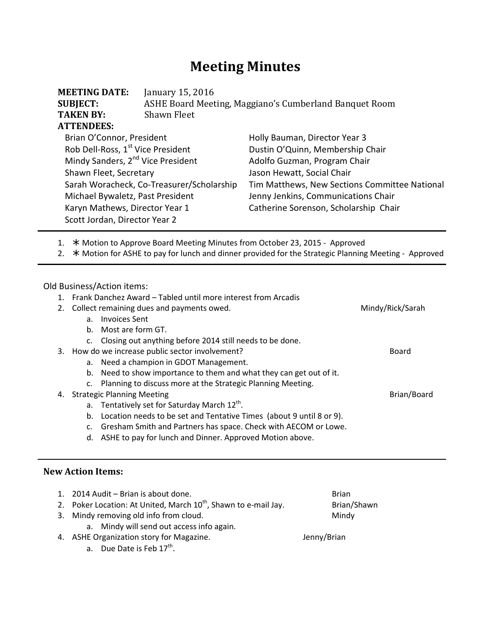# **Meeting Minutes**

| <b>MEETING DATE:</b><br><b>SUBJECT:</b><br><b>TAKEN BY:</b> | January 15, 2016<br>ASHE Board Meeting, Maggiano's Cumberland Banquet Room<br>Shawn Fleet |                                               |  |  |
|-------------------------------------------------------------|-------------------------------------------------------------------------------------------|-----------------------------------------------|--|--|
| <b>ATTENDEES:</b>                                           |                                                                                           |                                               |  |  |
| Brian O'Connor, President                                   |                                                                                           | Holly Bauman, Director Year 3                 |  |  |
| Rob Dell-Ross, 1 <sup>st</sup> Vice President               |                                                                                           | Dustin O'Quinn, Membership Chair              |  |  |
| Mindy Sanders, 2 <sup>nd</sup> Vice President               |                                                                                           | Adolfo Guzman, Program Chair                  |  |  |
| Shawn Fleet, Secretary                                      |                                                                                           | Jason Hewatt, Social Chair                    |  |  |
| Sarah Woracheck, Co-Treasurer/Scholarship                   |                                                                                           | Tim Matthews, New Sections Committee National |  |  |
| Michael Bywaletz, Past President                            |                                                                                           | Jenny Jenkins, Communications Chair           |  |  |
| Karyn Mathews, Director Year 1                              |                                                                                           | Catherine Sorenson, Scholarship Chair         |  |  |
| Scott Jordan, Director Year 2                               |                                                                                           |                                               |  |  |

1. \* Motion to Approve Board Meeting Minutes from October 23, 2015 - Approved

2.  $★$  Motion for ASHE to pay for lunch and dinner provided for the Strategic Planning Meeting - Approved

Old Business/Action items:

1. Frank Danchez Award – Tabled until more interest from Arcadis

|    | 2. Collect remaining dues and payments owed. |                                                                      | Mindy/Rick/Sarah |
|----|----------------------------------------------|----------------------------------------------------------------------|------------------|
|    | a.                                           | <b>Invoices Sent</b>                                                 |                  |
|    | b.                                           | Most are form GT.                                                    |                  |
|    | c.                                           | Closing out anything before 2014 still needs to be done.             |                  |
| 3. |                                              | How do we increase public sector involvement?                        | Board            |
|    | a.                                           | Need a champion in GDOT Management.                                  |                  |
|    | b.                                           | Need to show importance to them and what they can get out of it.     |                  |
|    | c.                                           | Planning to discuss more at the Strategic Planning Meeting.          |                  |
| 4. |                                              | <b>Strategic Planning Meeting</b>                                    | Brian/Board      |
|    |                                              | a. Tentatively set for Saturday March $12^{th}$ .                    |                  |
|    | b.                                           | Location needs to be set and Tentative Times (about 9 until 8 or 9). |                  |
|    | c.                                           | Gresham Smith and Partners has space. Check with AECOM or Lowe.      |                  |
|    | d.                                           | ASHE to pay for lunch and Dinner. Approved Motion above.             |                  |

## **New Action Items:**

| 1. 2014 Audit – Brian is about done.                                        | <b>Brian</b> |
|-----------------------------------------------------------------------------|--------------|
| 2. Poker Location: At United, March 10 <sup>th</sup> , Shawn to e-mail Jay. | Brian/Shawn  |
| 3. Mindy removing old info from cloud.                                      | Mindy        |
| a. Mindy will send out access info again.                                   |              |
| 4. ASHE Organization story for Magazine.                                    | Jenny/Brian  |
| a. Due Date is Feb 17 <sup>th</sup> .                                       |              |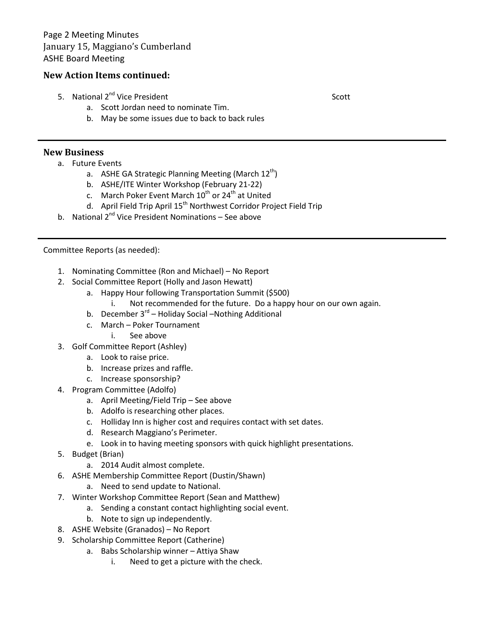### **New Action Items continued:**

5. National 2<sup>nd</sup> Vice President Scott Scott

a. Scott Jordan need to nominate Tim.

b. May be some issues due to back to back rules

## **New Business**

- a. Future Events
	- a. ASHE GA Strategic Planning Meeting (March  $12^{th}$ )
	- b. ASHE/ITE Winter Workshop (February 21-22)
	- c. March Poker Event March  $10^{th}$  or 24<sup>th</sup> at United
	- d. April Field Trip April 15<sup>th</sup> Northwest Corridor Project Field Trip
- b. National  $2^{nd}$  Vice President Nominations See above

#### Committee Reports (as needed):

- 1. Nominating Committee (Ron and Michael) No Report
- 2. Social Committee Report (Holly and Jason Hewatt)
	- a. Happy Hour following Transportation Summit (\$500)
		- i. Not recommended for the future. Do a happy hour on our own again.
	- b. December  $3^{rd}$  Holiday Social –Nothing Additional
	- c. March Poker Tournament
		- i. See above
- 3. Golf Committee Report (Ashley)
	- a. Look to raise price.
	- b. Increase prizes and raffle.
	- c. Increase sponsorship?
- 4. Program Committee (Adolfo)
	- a. April Meeting/Field Trip See above
	- b. Adolfo is researching other places.
	- c. Holliday Inn is higher cost and requires contact with set dates.
	- d. Research Maggiano's Perimeter.
	- e. Look in to having meeting sponsors with quick highlight presentations.
- 5. Budget (Brian)
	- a. 2014 Audit almost complete.
- 6. ASHE Membership Committee Report (Dustin/Shawn)
	- a. Need to send update to National.
- 7. Winter Workshop Committee Report (Sean and Matthew)
	- a. Sending a constant contact highlighting social event.
	- b. Note to sign up independently.
- 8. ASHE Website (Granados) No Report
- 9. Scholarship Committee Report (Catherine)
	- a. Babs Scholarship winner Attiya Shaw
		- i. Need to get a picture with the check.